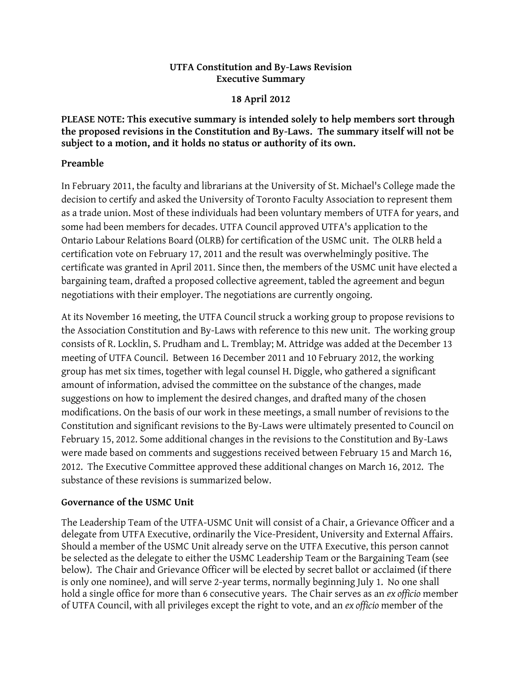# **UTFA Constitution and By-Laws Revision Executive Summary**

### **18 April 2012**

**PLEASE NOTE: This executive summary is intended solely to help members sort through the proposed revisions in the Constitution and By-Laws. The summary itself will not be subject to a motion, and it holds no status or authority of its own.**

# **Preamble**

In February 2011, the faculty and librarians at the University of St. Michael's College made the decision to certify and asked the University of Toronto Faculty Association to represent them as a trade union. Most of these individuals had been voluntary members of UTFA for years, and some had been members for decades. UTFA Council approved UTFA's application to the Ontario Labour Relations Board (OLRB) for certification of the USMC unit. The OLRB held a certification vote on February 17, 2011 and the result was overwhelmingly positive. The certificate was granted in April 2011. Since then, the members of the USMC unit have elected a bargaining team, drafted a proposed collective agreement, tabled the agreement and begun negotiations with their employer. The negotiations are currently ongoing.

At its November 16 meeting, the UTFA Council struck a working group to propose revisions to the Association Constitution and By-Laws with reference to this new unit. The working group consists of R. Locklin, S. Prudham and L. Tremblay; M. Attridge was added at the December 13 meeting of UTFA Council. Between 16 December 2011 and 10 February 2012, the working group has met six times, together with legal counsel H. Diggle, who gathered a significant amount of information, advised the committee on the substance of the changes, made suggestions on how to implement the desired changes, and drafted many of the chosen modifications. On the basis of our work in these meetings, a small number of revisions to the Constitution and significant revisions to the By-Laws were ultimately presented to Council on February 15, 2012. Some additional changes in the revisions to the Constitution and By-Laws were made based on comments and suggestions received between February 15 and March 16, 2012. The Executive Committee approved these additional changes on March 16, 2012. The substance of these revisions is summarized below.

# **Governance of the USMC Unit**

The Leadership Team of the UTFA-USMC Unit will consist of a Chair, a Grievance Officer and a delegate from UTFA Executive, ordinarily the Vice-President, University and External Affairs. Should a member of the USMC Unit already serve on the UTFA Executive, this person cannot be selected as the delegate to either the USMC Leadership Team or the Bargaining Team (see below). The Chair and Grievance Officer will be elected by secret ballot or acclaimed (if there is only one nominee), and will serve 2-year terms, normally beginning July 1. No one shall hold a single office for more than 6 consecutive years. The Chair serves as an *ex officio* member of UTFA Council, with all privileges except the right to vote, and an *ex officio* member of the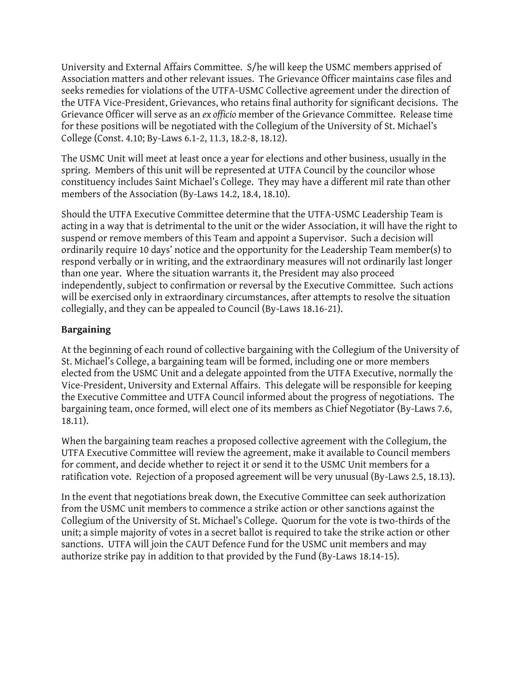University and External Affairs Committee. S/he will keep the USMC members apprised of Association matters and other relevant issues. The Grievance Officer maintains case files and seeks remedies for violations of the UTFA-USMC Collective agreement under the direction of the UTFA Vice-President, Grievances, who retains final authority for significant decisions. The Grievance Officer will serve as an *ex officio* member of the Grievance Committee. Release time for these positions will be negotiated with the Collegium of the University of St. Michael's College (Const. 4.10; By-Laws 6.1-2, 11.3, 18.2-8, 18.12).

The USMC Unit will meet at least once a year for elections and other business, usually in the spring. Members of this unit will be represented at UTFA Council by the councilor whose constituency includes Saint Michael's College. They may have a different mil rate than other members of the Association (By-Laws 14.2, 18.4, 18.10).

Should the UTFA Executive Committee determine that the UTFA-USMC Leadership Team is acting in a way that is detrimental to the unit or the wider Association, it will have the right to suspend or remove members of this Team and appoint a Supervisor. Such a decision will ordinarily require 10 days' notice and the opportunity for the Leadership Team member(s) to respond verbally or in writing, and the extraordinary measures will not ordinarily last longer than one year. Where the situation warrants it, the President may also proceed independently, subject to confirmation or reversal by the Executive Committee. Such actions will be exercised only in extraordinary circumstances, after attempts to resolve the situation collegially, and they can be appealed to Council (By-Laws 18.16-21).

# **Bargaining**

At the beginning of each round of collective bargaining with the Collegium of the University of St. Michael's College, a bargaining team will be formed, including one or more members elected from the USMC Unit and a delegate appointed from the UTFA Executive, normally the Vice-President, University and External Affairs. This delegate will be responsible for keeping the Executive Committee and UTFA Council informed about the progress of negotiations. The bargaining team, once formed, will elect one of its members as Chief Negotiator (By-Laws 7.6, 18.11).

When the bargaining team reaches a proposed collective agreement with the Collegium, the UTFA Executive Committee will review the agreement, make it available to Council members for comment, and decide whether to reject it or send it to the USMC Unit members for a ratification vote. Rejection of a proposed agreement will be very unusual (By-Laws 2.5, 18.13).

In the event that negotiations break down, the Executive Committee can seek authorization from the USMC unit members to commence a strike action or other sanctions against the Collegium of the University of St. Michael's College. Quorum for the vote is two-thirds of the unit; a simple majority of votes in a secret ballot is required to take the strike action or other sanctions. UTFA will join the CAUT Defence Fund for the USMC unit members and may authorize strike pay in addition to that provided by the Fund (By-Laws 18.14-15).